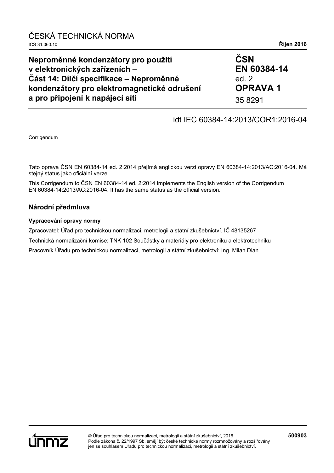| Neproměnné kondenzátory pro použití<br>v elektronických zařízeních -                                                      | ČSN<br>EN 60384-14        |
|---------------------------------------------------------------------------------------------------------------------------|---------------------------|
| Část 14: Dílčí specifikace – Neproměnné<br>kondenzátory pro elektromagnetické odrušení<br>a pro připojení k napájecí síti | ed. $2$<br><b>OPRAVA1</b> |
|                                                                                                                           | 35 8291                   |

# idt IEC 60384-14:2013/COR1:2016-04

Corrigendum

Tato oprava ČSN EN 60384-14 ed. 2:2014 přejímá anglickou verzi opravy EN 60384-14:2013/AC:2016-04. Má stejný status jako oficiální verze.

This Corrigendum to ČSN EN 60384-14 ed. 2:2014 implements the English version of the Corrigendum EN 60384-14:2013/AC:2016-04. It has the same status as the official version.

# **Národní předmluva**

## **Vypracování opravy normy**

Zpracovatel: Úřad pro technickou normalizaci, metrologii a státní zkušebnictví, IČ 48135267

Technická normalizační komise: TNK 102 Součástky a materiály pro elektroniku a elektrotechniku

Pracovník Úřadu pro technickou normalizaci, metrologii a státní zkušebnictví: Ing. Milan Dian

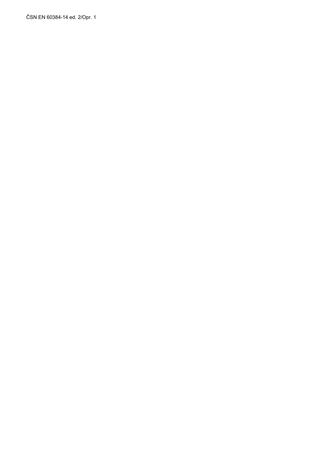ČSN EN 60384-14 ed. 2/Opr. 1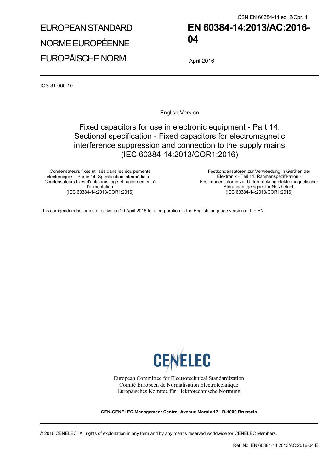# EUROPEAN STANDARD NORME EUROPÉENNE EUROPÄISCHE NORM

# **EN 60384-14:2013/AC:2016- 04**

April 2016

ICS 31.060.10

English Version

# Fixed capacitors for use in electronic equipment - Part 14: Sectional specification - Fixed capacitors for electromagnetic interference suppression and connection to the supply mains (IEC 60384-14:2013/COR1:2016)

Condensateurs fixes utilisés dans les équipements électroniques - Partie 14: Spécification intermédiaire - Condensateurs fixes d'antiparasitage et raccordement à l'alimentation (IEC 60384-14:2013/COR1:2016)

 Festkondensatoren zur Verwendung in Geräten der Elektronik - Teil 14: Rahmenspezifikation - Festkondensatoren zur Unterdrückung elektromagnetischer Störungen, geeignet für Netzbetrieb (IEC 60384-14:2013/COR1:2016)

This corrigendum becomes effective on 29 April 2016 for incorporation in the English language version of the EN.



European Committee for Electrotechnical Standardization Comité Européen de Normalisation Electrotechnique Europäisches Komitee für Elektrotechnische Normung

**CEN-CENELEC Management Centre: Avenue Marnix 17, B-1000 Brussels** 

© 2016 CENELEC All rights of exploitation in any form and by any means reserved worldwide for CENELEC Members.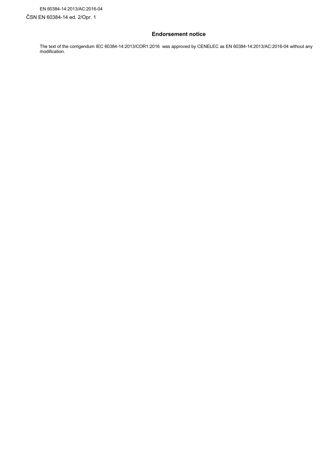EN 60384-14:2013/AC:2016-04

ČSN EN 60384-14 ed. 2/Opr. 1

## **Endorsement notice**

The text of the corrigendum IEC 60384-14:2013/COR1:2016 was approved by CENELEC as EN 60384-14:2013/AC:2016-04 without any modification.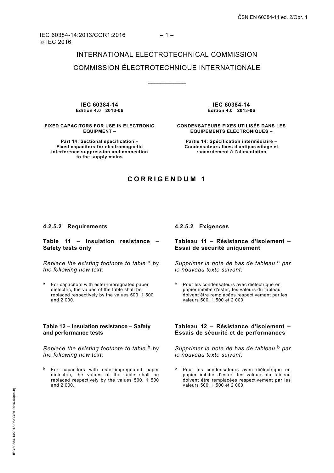IEC 60384-14:2013/COR1:2016 – 1 – © IEC 2016

# INTERNATIONAL ELECTROTECHNICAL COMMISSION

# COMMISSION ÉLECTROTECHNIQUE INTERNATIONALE

 $\overline{\phantom{a}}$ 

**IEC 60384-14 Edition 4.0 2013-06** 

**FIXED CAPACITORS FOR USE IN ELECTRONIC EQUIPMENT –** 

**Part 14: Sectional specification – Fixed capacitors for electromagnetic interference suppression and connection to the supply mains**

**IEC 60384-14 Édition 4.0 2013-06**

**CONDENSATEURS FIXES UTILISÉS DANS LES EQUIPEMENTS ÉLECTRONIQUES –** 

**Partie 14: Spécification intermédiaire – Condensateurs fixes d'antiparasitage et raccordement à l'alimentation**

# **CORRIGENDUM 1**

### **4.2.5.2 Requirements 4.2.5.2 Exigences**

**Table 11 – Insulation resistance – Safety tests only**

*Replace the existing footnote to table* <sup>a</sup> *by the following new text:* 

a For capacitors with ester-impregnated paper dielectric, the values of the table shall be replaced respectively by the values 500, 1 500 and 2 000.

#### **Table 12 – Insulation resistance – Safety and performance tests**

*Replace the existing footnote to table* <sup>b</sup> *by the following new text:* 

b For capacitors with ester-impregnated paper dielectric, the values of the table shall be replaced respectively by the values 500, 1 500 and 2 000.

#### **Tableau 11 – Résistance d'isolement – Essai de sécurité uniquement**

*Supprimer la note de bas de tableau* <sup>a</sup> *par le nouveau texte suivant:* 

<sup>a</sup> Pour les condensateurs avec diélectrique en papier imbibé d'ester, les valeurs du tableau doivent être remplacées respectivement par les valeurs 500, 1 500 et 2 000.

#### **Tableau 12 – Résistance d'isolement – Essais de sécurité et de performances**

*Supprimer la note de bas de tableau* <sup>b</sup> *par le nouveau texte suivant:*

**b** Pour les condensateurs avec diélectrique en papier imbibé d'ester, les valeurs du tableau doivent être remplacées respectivement par les valeurs 500, 1 500 et 2 000.